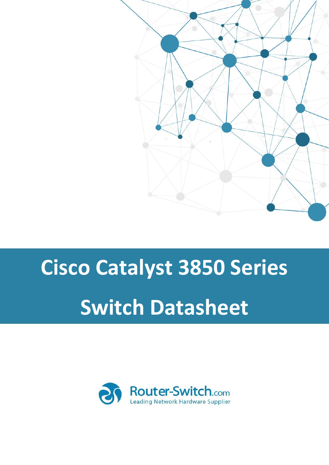

# **Cisco Catalyst 3850 Series Switch Datasheet**

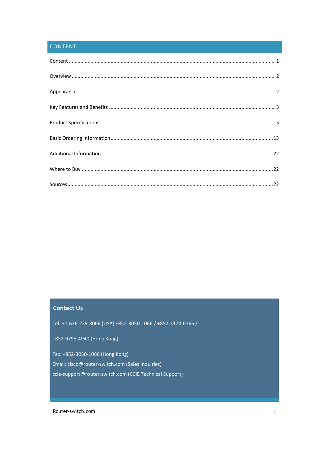# <span id="page-1-0"></span>CONTENT

## **Contact Us**

Tel: +1-626-239-8066 (USA) +852-3050-1066 / +852-3174-6166 /

+852-9795-4940 (Hong Kong)

Fax: +852-3050-1066 (Hong Kong)

Email: cisco@router-switch.com (Sales Inquiries)

ccie-support@router-switch.com (CCIE Technical Support)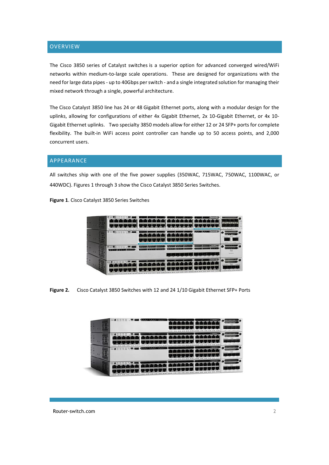## <span id="page-2-0"></span>**OVERVIEW**

The Cisco 3850 series of Catalyst switches is a superior option for advanced converged wired/WiFi networks within medium-to-large scale operations. These are designed for organizations with the need for large data pipes - up to 40Gbps per switch - and a single integrated solution for managing their mixed network through a single, powerful architecture.

The Cisco Catalyst 3850 line has 24 or 48 Gigabit Ethernet ports, along with a modular design for the uplinks, allowing for configurations of either 4x Gigabit Ethernet, 2x 10-Gigabit Ethernet, or 4x 10- Gigabit Ethernet uplinks. Two specialty 3850 models allow for either 12 or 24 SFP+ ports for complete flexibility. The built-in WiFi access point controller can handle up to 50 access points, and 2,000 concurrent users.

## <span id="page-2-1"></span>APPEARANCE

All switches ship with one of the five power supplies (350WAC, 715WAC, 750WAC, 1100WAC, or 440WDC). Figures 1 through 3 show the Cisco Catalyst 3850 Series Switches.

**Figure 1**. Cisco Catalyst 3850 Series Switches

|  | .<br>VI, | <b>TTTTT TTTTT</b> | <b>AFTER CATE SHOPLING</b> |
|--|----------|--------------------|----------------------------|
|  |          |                    |                            |
|  |          | 夏奧爾 医血清 医细胞        |                            |
|  | тŤ       |                    |                            |

**Figure 2.** Cisco Catalyst 3850 Switches with 12 and 24 1/10 Gigabit Ethernet SFP+ Ports

| <b>Care</b>            |   | ---                 |                                 |
|------------------------|---|---------------------|---------------------------------|
| $\sim$<br><b>VEGAS</b> |   | <b>Service</b>      |                                 |
| $\frac{100}{20000}$    |   | <b>MARKET MARK</b>  | <b>ATAN MAR</b>                 |
| na:<br>$\sim$          | ٠ | <b>THE REAL PRO</b> | planets scaled down to plan it. |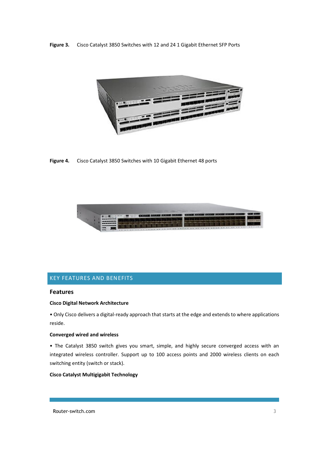**Figure 3.** Cisco Catalyst 3850 Switches with 12 and 24 1 Gigabit Ethernet SFP Ports



**Figure 4.** Cisco Catalyst 3850 Switches with 10 Gigabit Ethernet 48 ports



## <span id="page-3-0"></span>KEY FEATURES AND BENEFITS

## **Features**

#### **Cisco Digital Network Architecture**

• Only Cisco delivers a digital-ready approach that starts at the edge and extends to where applications reside.

#### **Converged wired and wireless**

• The Catalyst 3850 switch gives you smart, simple, and highly secure converged access with an integrated wireless controller. Support up to 100 access points and 2000 wireless clients on each switching entity (switch or stack).

## **Cisco Catalyst Multigigabit Technology**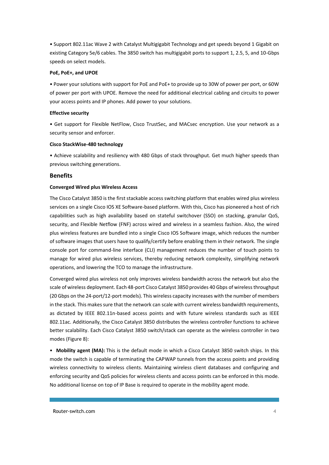• Support 802.11ac Wave 2 with Catalyst Multigigabit Technology and get speeds beyond 1 Gigabit on existing Category 5e/6 cables. The 3850 switch has multigigabit ports to support 1, 2.5, 5, and 10-Gbps speeds on select models.

#### **PoE, PoE+, and UPOE**

• Power your solutions with support for PoE and PoE+ to provide up to 30W of power per port, or 60W of power per port with UPOE. Remove the need for additional electrical cabling and circuits to power your access points and IP phones. Add power to your solutions.

#### **Effective security**

• Get support for Flexible NetFlow, Cisco TrustSec, and MACsec encryption. Use your network as a security sensor and enforcer.

#### **Cisco StackWise-480 technology**

• Achieve scalability and resiliency with 480 Gbps of stack throughput. Get much higher speeds than previous switching generations.

#### **Benefits**

#### **Converged Wired plus Wireless Access**

The Cisco Catalyst 3850 is the first stackable access switching platform that enables wired plus wireless services on a single Cisco IOS XE Software-based platform. With this, Cisco has pioneered a host of rich capabilities such as high availability based on stateful switchover (SSO) on stacking, granular QoS, security, and Flexible Netflow (FNF) across wired and wireless in a seamless fashion. Also, the wired plus wireless features are bundled into a single Cisco IOS Software image, which reduces the number of software images that users have to qualify/certify before enabling them in their network. The single console port for command-line interface (CLI) management reduces the number of touch points to manage for wired plus wireless services, thereby reducing network complexity, simplifying network operations, and lowering the TCO to manage the infrastructure.

Converged wired plus wireless not only improves wireless bandwidth across the network but also the scale of wireless deployment. Each 48-port Cisco Catalyst 3850 provides 40 Gbps of wireless throughput (20 Gbps on the 24-port/12-port models). This wireless capacity increases with the number of members in the stack. This makes sure that the network can scale with current wireless bandwidth requirements, as dictated by IEEE 802.11n-based access points and with future wireless standards such as IEEE 802.11ac. Additionally, the Cisco Catalyst 3850 distributes the wireless controller functions to achieve better scalability. Each Cisco Catalyst 3850 switch/stack can operate as the wireless controller in two modes (Figure 8):

• **Mobility agent (MA):** This is the default mode in which a Cisco Catalyst 3850 switch ships. In this mode the switch is capable of terminating the CAPWAP tunnels from the access points and providing wireless connectivity to wireless clients. Maintaining wireless client databases and configuring and enforcing security and QoS policies for wireless clients and access points can be enforced in this mode. No additional license on top of IP Base is required to operate in the mobility agent mode.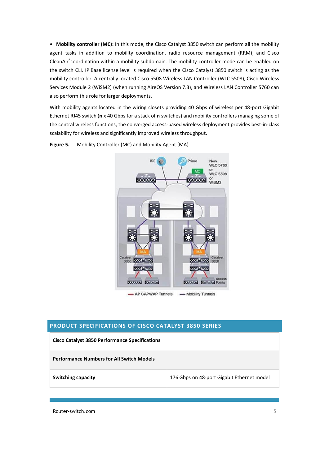• **Mobility controller (MC):** In this mode, the Cisco Catalyst 3850 switch can perform all the mobility agent tasks in addition to mobility coordination, radio resource management (RRM), and Cisco CleanAir® coordination within a mobility subdomain. The mobility controller mode can be enabled on the switch CLI. IP Base license level is required when the Cisco Catalyst 3850 switch is acting as the mobility controller. A centrally located Cisco 5508 Wireless LAN Controller (WLC 5508), Cisco Wireless Services Module 2 (WiSM2) (when running AireOS Version 7.3), and Wireless LAN Controller 5760 can also perform this role for larger deployments.

With mobility agents located in the wiring closets providing 40 Gbps of wireless per 48-port Gigabit Ethernet RJ45 switch (**n** x 40 Gbps for a stack of **n** switches) and mobility controllers managing some of the central wireless functions, the converged access-based wireless deployment provides best-in-class scalability for wireless and significantly improved wireless throughput.



**Figure 5.** Mobility Controller (MC) and Mobility Agent (MA)

# <span id="page-5-0"></span>**PRODUCT SPECIFICATIONS OF CISCO CATALYST 3850 SERIES**

| <b>Cisco Catalyst 3850 Performance Specifications</b> |                                            |
|-------------------------------------------------------|--------------------------------------------|
| <b>Performance Numbers for All Switch Models</b>      |                                            |
| <b>Switching capacity</b>                             | 176 Gbps on 48-port Gigabit Ethernet model |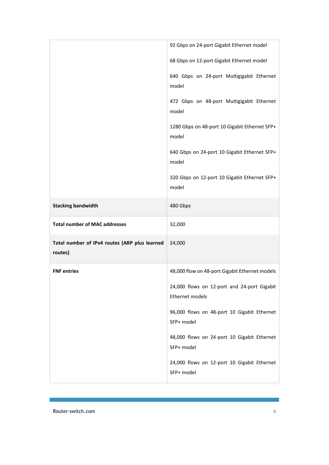|                                                          | 92 Gbps on 24-port Gigabit Ethernet model                      |
|----------------------------------------------------------|----------------------------------------------------------------|
|                                                          | 68 Gbps on 12-port Gigabit Ethernet model                      |
|                                                          | 640 Gbps on 24-port Multigigabit Ethernet<br>model             |
|                                                          | 472 Gbps on 48-port Multigigabit Ethernet<br>model             |
|                                                          | 1280 Gbps on 48-port 10 Gigabit Ethernet SFP+<br>model         |
|                                                          | 640 Gbps on 24-port 10 Gigabit Ethernet SFP+<br>model          |
|                                                          | 320 Gbps on 12-port 10 Gigabit Ethernet SFP+<br>model          |
| <b>Stacking bandwidth</b>                                | 480 Gbps                                                       |
| <b>Total number of MAC addresses</b>                     | 32,000                                                         |
| Total number of IPv4 routes (ARP plus learned<br>routes) | 24,000                                                         |
| <b>FNF</b> entries                                       | 48,000 flow on 48-port Gigabit Ethernet models                 |
|                                                          | 24,000 flows on 12-port and 24-port Gigabit<br>Ethernet models |
|                                                          | 96,000 flows on 48-port 10 Gigabit Ethernet                    |
|                                                          | SFP+ model                                                     |
|                                                          | 48,000 flows on 24-port 10 Gigabit Ethernet<br>SFP+ model      |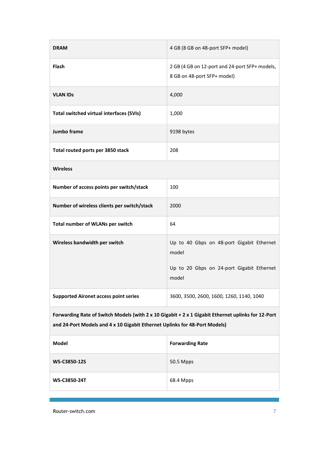| <b>DRAM</b>                                                                                                                                                                      | 4 GB (8 GB on 48-port SFP+ model)                                                                        |  |
|----------------------------------------------------------------------------------------------------------------------------------------------------------------------------------|----------------------------------------------------------------------------------------------------------|--|
| <b>Flash</b>                                                                                                                                                                     | 2 GB (4 GB on 12-port and 24-port SFP+ models,<br>8 GB on 48-port SFP+ model)                            |  |
| <b>VLAN IDs</b>                                                                                                                                                                  | 4,000                                                                                                    |  |
| Total switched virtual interfaces (SVIs)                                                                                                                                         | 1,000                                                                                                    |  |
| Jumbo frame                                                                                                                                                                      | 9198 bytes                                                                                               |  |
| Total routed ports per 3850 stack                                                                                                                                                | 208                                                                                                      |  |
| <b>Wireless</b>                                                                                                                                                                  |                                                                                                          |  |
| Number of access points per switch/stack                                                                                                                                         | 100                                                                                                      |  |
| Number of wireless clients per switch/stack                                                                                                                                      | 2000                                                                                                     |  |
| Total number of WLANs per switch                                                                                                                                                 | 64                                                                                                       |  |
| Wireless bandwidth per switch                                                                                                                                                    | Up to 40 Gbps on 48-port Gigabit Ethernet<br>model<br>Up to 20 Gbps on 24-port Gigabit Ethernet<br>model |  |
|                                                                                                                                                                                  |                                                                                                          |  |
| <b>Supported Aironet access point series</b>                                                                                                                                     | 3600, 3500, 2600, 1600, 1260, 1140, 1040                                                                 |  |
| Forwarding Rate of Switch Models (with 2 x 10 Gigabit + 2 x 1 Gigabit Ethernet uplinks for 12-Port<br>and 24-Port Models and 4 x 10 Gigabit Ethernet Uplinks for 48-Port Models) |                                                                                                          |  |
| Model                                                                                                                                                                            | <b>Forwarding Rate</b>                                                                                   |  |
| WS-C3850-12S                                                                                                                                                                     | 50.5 Mpps                                                                                                |  |
| <b>WS-C3850-24T</b>                                                                                                                                                              | 68.4 Mpps                                                                                                |  |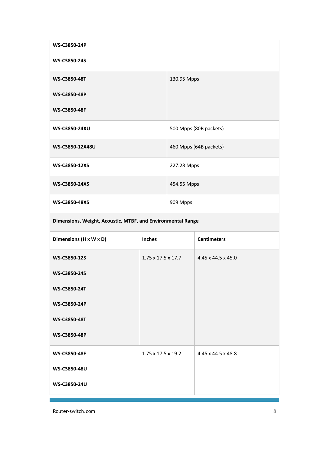| <b>WS-C3850-24P</b>  |                        |
|----------------------|------------------------|
| <b>WS-C3850-24S</b>  |                        |
| <b>WS-C3850-48T</b>  | 130.95 Mpps            |
| <b>WS-C3850-48P</b>  |                        |
| <b>WS-C3850-48F</b>  |                        |
| <b>WS-C3850-24XU</b> | 500 Mpps (80B packets) |
| WS-C3850-12X48U      | 460 Mpps (64B packets) |
| <b>WS-C3850-12XS</b> | 227.28 Mpps            |
| WS-C3850-24XS        | 454.55 Mpps            |
| <b>WS-C3850-48XS</b> | 909 Mpps               |

**Dimensions, Weight, Acoustic, MTBF, and Environmental Range**

| Dimensions (H x W x D) | <b>Inches</b>                  | <b>Centimeters</b> |
|------------------------|--------------------------------|--------------------|
| <b>WS-C3850-12S</b>    | $1.75 \times 17.5 \times 17.7$ | 4.45 x 44.5 x 45.0 |
| WS-C3850-24S           |                                |                    |
| <b>WS-C3850-24T</b>    |                                |                    |
| WS-C3850-24P           |                                |                    |
| <b>WS-C3850-48T</b>    |                                |                    |
| <b>WS-C3850-48P</b>    |                                |                    |
| <b>WS-C3850-48F</b>    | $1.75 \times 17.5 \times 19.2$ | 4.45 x 44.5 x 48.8 |
| WS-C3850-48U           |                                |                    |
| WS-C3850-24U           |                                |                    |
|                        |                                |                    |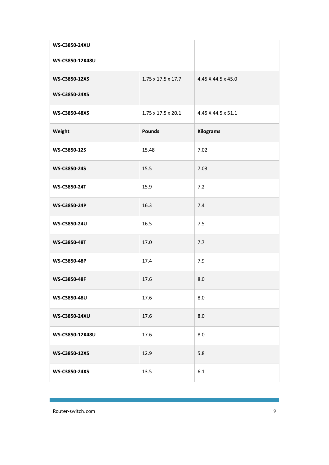| <b>WS-C3850-24XU</b> |                                |                    |
|----------------------|--------------------------------|--------------------|
| WS-C3850-12X48U      |                                |                    |
| WS-C3850-12XS        | $1.75 \times 17.5 \times 17.7$ | 4.45 X 44.5 x 45.0 |
| WS-C3850-24XS        |                                |                    |
| <b>WS-C3850-48XS</b> | $1.75 \times 17.5 \times 20.1$ | 4.45 X 44.5 x 51.1 |
| Weight               | <b>Pounds</b>                  | <b>Kilograms</b>   |
| WS-C3850-12S         | 15.48                          | 7.02               |
| WS-C3850-24S         | 15.5                           | 7.03               |
| WS-C3850-24T         | 15.9                           | 7.2                |
| WS-C3850-24P         | 16.3                           | 7.4                |
| WS-C3850-24U         | 16.5                           | 7.5                |
| WS-C3850-48T         | 17.0                           | 7.7                |
| WS-C3850-48P         | 17.4                           | 7.9                |
| WS-C3850-48F         | 17.6                           | 8.0                |
| WS-C3850-48U         | 17.6                           | 8.0                |
| WS-C3850-24XU        | 17.6                           | 8.0                |
| WS-C3850-12X48U      | 17.6                           | 8.0                |
| WS-C3850-12XS        | 12.9                           | 5.8                |
| WS-C3850-24XS        | 13.5                           | 6.1                |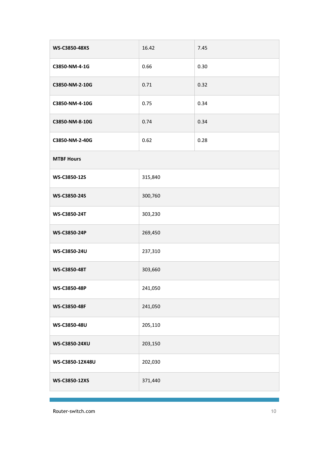| <b>WS-C3850-48XS</b> | 16.42   | 7.45 |
|----------------------|---------|------|
| C3850-NM-4-1G        | 0.66    | 0.30 |
| C3850-NM-2-10G       | 0.71    | 0.32 |
| C3850-NM-4-10G       | 0.75    | 0.34 |
| C3850-NM-8-10G       | 0.74    | 0.34 |
| C3850-NM-2-40G       | 0.62    | 0.28 |
| <b>MTBF Hours</b>    |         |      |
| WS-C3850-12S         | 315,840 |      |
| WS-C3850-24S         | 300,760 |      |
| WS-C3850-24T         | 303,230 |      |
| WS-C3850-24P         | 269,450 |      |
| WS-C3850-24U         | 237,310 |      |
| WS-C3850-48T         | 303,660 |      |
| WS-C3850-48P         | 241,050 |      |
| WS-C3850-48F         | 241,050 |      |
| WS-C3850-48U         | 205,110 |      |
| WS-C3850-24XU        | 203,150 |      |
| WS-C3850-12X48U      | 202,030 |      |
| WS-C3850-12XS        | 371,440 |      |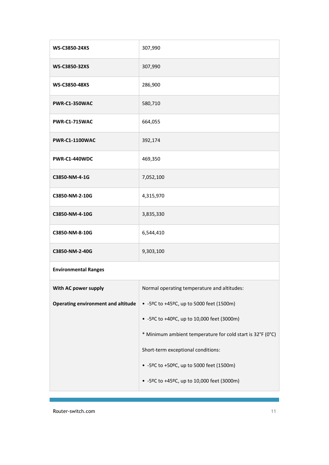| WS-C3850-24XS                             | 307,990                                                    |
|-------------------------------------------|------------------------------------------------------------|
| WS-C3850-32XS                             | 307,990                                                    |
| WS-C3850-48XS                             | 286,900                                                    |
| PWR-C1-350WAC                             | 580,710                                                    |
| <b>PWR-C1-715WAC</b>                      | 664,055                                                    |
| <b>PWR-C1-1100WAC</b>                     | 392,174                                                    |
| PWR-C1-440WDC                             | 469,350                                                    |
| C3850-NM-4-1G                             | 7,052,100                                                  |
| C3850-NM-2-10G                            | 4,315,970                                                  |
| C3850-NM-4-10G                            | 3,835,330                                                  |
| C3850-NM-8-10G                            | 6,544,410                                                  |
| C3850-NM-2-40G                            | 9,303,100                                                  |
| <b>Environmental Ranges</b>               |                                                            |
| With AC power supply                      | Normal operating temperature and altitudes:                |
| <b>Operating environment and altitude</b> | • -5ºC to +45ºC, up to 5000 feet (1500m)                   |
|                                           | • -5ºC to +40ºC, up to 10,000 feet (3000m)                 |
|                                           | * Minimum ambient temperature for cold start is 32°F (0°C) |
|                                           | Short-term exceptional conditions:                         |
|                                           | • -5ºC to +50ºC, up to 5000 feet (1500m)                   |
|                                           | • -5ºC to +45ºC, up to 10,000 feet (3000m)                 |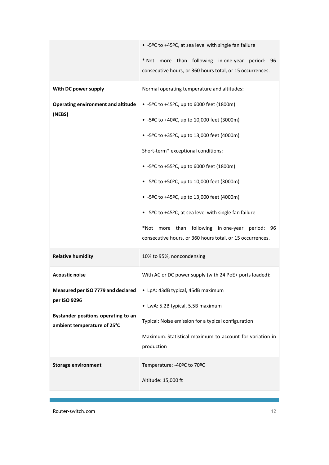|                                                                    | • -5ºC to +45ºC, at sea level with single fan failure                  |
|--------------------------------------------------------------------|------------------------------------------------------------------------|
|                                                                    | * Not more than following in one-year period: 96                       |
|                                                                    | consecutive hours, or 360 hours total, or 15 occurrences.              |
| With DC power supply                                               | Normal operating temperature and altitudes:                            |
| <b>Operating environment and altitude</b>                          | • -5ºC to +45ºC, up to 6000 feet (1800m)                               |
| (NEBS)                                                             | • -5ºC to +40ºC, up to 10,000 feet (3000m)                             |
|                                                                    | • -5ºC to +35ºC, up to 13,000 feet (4000m)                             |
|                                                                    | Short-term* exceptional conditions:                                    |
|                                                                    | • -5ºC to +55ºC, up to 6000 feet (1800m)                               |
|                                                                    | • -5ºC to +50ºC, up to 10,000 feet (3000m)                             |
|                                                                    | • -5ºC to +45ºC, up to 13,000 feet (4000m)                             |
|                                                                    | • -5ºC to +45ºC, at sea level with single fan failure                  |
|                                                                    | *Not more than following inone-year period: 96                         |
|                                                                    | consecutive hours, or 360 hours total, or 15 occurrences.              |
| <b>Relative humidity</b>                                           | 10% to 95%, noncondensing                                              |
| <b>Acoustic noise</b>                                              | With AC or DC power supply (with 24 PoE+ ports loaded):                |
| Measured per ISO 7779 and declared                                 | • LpA: 43dB typical, 45dB maximum                                      |
| per ISO 9296                                                       |                                                                        |
|                                                                    | • LwA: 5.2B typical, 5.5B maximum                                      |
| Bystander positions operating to an<br>ambient temperature of 25°C | Typical: Noise emission for a typical configuration                    |
|                                                                    | Maximum: Statistical maximum to account for variation in<br>production |
| <b>Storage environment</b>                                         | Temperature: -40ºC to 70ºC                                             |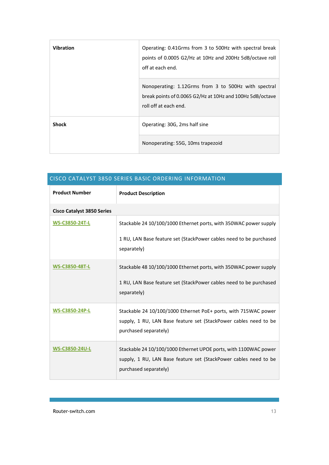| <b>Vibration</b> | Operating: 0.41Grms from 3 to 500Hz with spectral break<br>points of 0.0005 G2/Hz at 10Hz and 200Hz 5dB/octave roll<br>off at each end.    |
|------------------|--------------------------------------------------------------------------------------------------------------------------------------------|
|                  | Nonoperating: 1.12Grms from 3 to 500Hz with spectral<br>break points of 0.0065 G2/Hz at 10Hz and 100Hz 5dB/octave<br>roll off at each end. |
| <b>Shock</b>     | Operating: 30G, 2ms half sine                                                                                                              |
|                  | Nonoperating: 55G, 10ms trapezoid                                                                                                          |

<span id="page-13-0"></span>

| CISCO CATALYST 3850 SERIES BASIC ORDERING INFORMATION |                                                                                                                                                               |
|-------------------------------------------------------|---------------------------------------------------------------------------------------------------------------------------------------------------------------|
| <b>Product Number</b>                                 | <b>Product Description</b>                                                                                                                                    |
| <b>Cisco Catalyst 3850 Series</b>                     |                                                                                                                                                               |
| <b>WS-C3850-24T-L</b>                                 | Stackable 24 10/100/1000 Ethernet ports, with 350WAC power supply                                                                                             |
|                                                       | 1 RU, LAN Base feature set (StackPower cables need to be purchased<br>separately)                                                                             |
| <b>WS-C3850-48T-L</b>                                 | Stackable 48 10/100/1000 Ethernet ports, with 350WAC power supply<br>1 RU, LAN Base feature set (StackPower cables need to be purchased<br>separately)        |
| <b>WS-C3850-24P-L</b>                                 | Stackable 24 10/100/1000 Ethernet PoE+ ports, with 715WAC power<br>supply, 1 RU, LAN Base feature set (StackPower cables need to be<br>purchased separately)  |
| WS-C3850-24U-L                                        | Stackable 24 10/100/1000 Ethernet UPOE ports, with 1100WAC power<br>supply, 1 RU, LAN Base feature set (StackPower cables need to be<br>purchased separately) |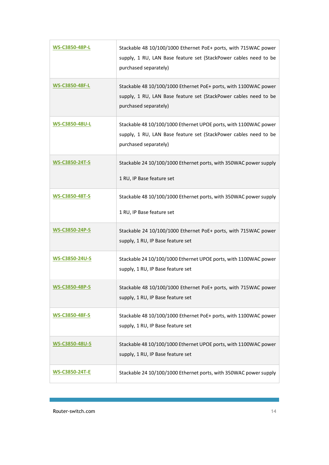| <b>WS-C3850-48P-L</b> | Stackable 48 10/100/1000 Ethernet PoE+ ports, with 715WAC power<br>supply, 1 RU, LAN Base feature set (StackPower cables need to be<br>purchased separately)  |
|-----------------------|---------------------------------------------------------------------------------------------------------------------------------------------------------------|
| <b>WS-C3850-48F-L</b> | Stackable 48 10/100/1000 Ethernet PoE+ ports, with 1100WAC power<br>supply, 1 RU, LAN Base feature set (StackPower cables need to be<br>purchased separately) |
| WS-C3850-48U-L        | Stackable 48 10/100/1000 Ethernet UPOE ports, with 1100WAC power<br>supply, 1 RU, LAN Base feature set (StackPower cables need to be<br>purchased separately) |
| <b>WS-C3850-24T-S</b> | Stackable 24 10/100/1000 Ethernet ports, with 350WAC power supply<br>1 RU, IP Base feature set                                                                |
| <b>WS-C3850-48T-S</b> | Stackable 48 10/100/1000 Ethernet ports, with 350WAC power supply<br>1 RU, IP Base feature set                                                                |
| <b>WS-C3850-24P-S</b> | Stackable 24 10/100/1000 Ethernet PoE+ ports, with 715WAC power<br>supply, 1 RU, IP Base feature set                                                          |
| <b>WS-C3850-24U-S</b> | Stackable 24 10/100/1000 Ethernet UPOE ports, with 1100WAC power<br>supply, 1 RU, IP Base feature set                                                         |
| <u>WS-C3850-48P-S</u> | Stackable 48 10/100/1000 Ethernet PoE+ ports, with 715WAC power<br>supply, 1 RU, IP Base feature set                                                          |
| <b>WS-C3850-48F-S</b> | Stackable 48 10/100/1000 Ethernet PoE+ ports, with 1100WAC power<br>supply, 1 RU, IP Base feature set                                                         |
| WS-C3850-48U-S        | Stackable 48 10/100/1000 Ethernet UPOE ports, with 1100WAC power<br>supply, 1 RU, IP Base feature set                                                         |
| <b>WS-C3850-24T-E</b> | Stackable 24 10/100/1000 Ethernet ports, with 350WAC power supply                                                                                             |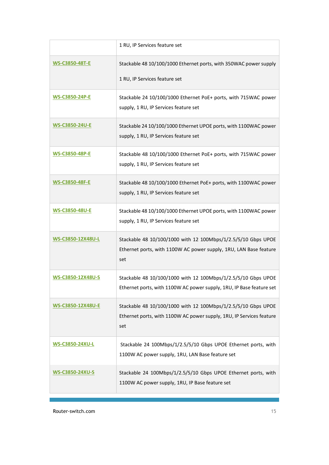|                        | 1 RU, IP Services feature set                                                                                                                |
|------------------------|----------------------------------------------------------------------------------------------------------------------------------------------|
| <b>WS-C3850-48T-E</b>  | Stackable 48 10/100/1000 Ethernet ports, with 350WAC power supply<br>1 RU, IP Services feature set                                           |
| <b>WS-C3850-24P-E</b>  | Stackable 24 10/100/1000 Ethernet PoE+ ports, with 715WAC power<br>supply, 1 RU, IP Services feature set                                     |
| <b>WS-C3850-24U-E</b>  | Stackable 24 10/100/1000 Ethernet UPOE ports, with 1100WAC power<br>supply, 1 RU, IP Services feature set                                    |
| <b>WS-C3850-48P-E</b>  | Stackable 48 10/100/1000 Ethernet PoE+ ports, with 715WAC power<br>supply, 1 RU, IP Services feature set                                     |
| <b>WS-C3850-48F-E</b>  | Stackable 48 10/100/1000 Ethernet PoE+ ports, with 1100WAC power<br>supply, 1 RU, IP Services feature set                                    |
| <b>WS-C3850-48U-E</b>  | Stackable 48 10/100/1000 Ethernet UPOE ports, with 1100WAC power<br>supply, 1 RU, IP Services feature set                                    |
| WS-C3850-12X48U-L      | Stackable 48 10/100/1000 with 12 100Mbps/1/2.5/5/10 Gbps UPOE<br>Ethernet ports, with 1100W AC power supply, 1RU, LAN Base feature<br>set    |
| WS-C3850-12X48U-S      | Stackable 48 10/100/1000 with 12 100Mbps/1/2.5/5/10 Gbps UPOE<br>Ethernet ports, with 1100W AC power supply, 1RU, IP Base feature set        |
| WS-C3850-12X48U-E      | Stackable 48 10/100/1000 with 12 100Mbps/1/2.5/5/10 Gbps UPOE<br>Ethernet ports, with 1100W AC power supply, 1RU, IP Services feature<br>set |
| <b>WS-C3850-24XU-L</b> | Stackable 24 100Mbps/1/2.5/5/10 Gbps UPOE Ethernet ports, with<br>1100W AC power supply, 1RU, LAN Base feature set                           |
| <b>WS-C3850-24XU-S</b> | Stackable 24 100Mbps/1/2.5/5/10 Gbps UPOE Ethernet ports, with<br>1100W AC power supply, 1RU, IP Base feature set                            |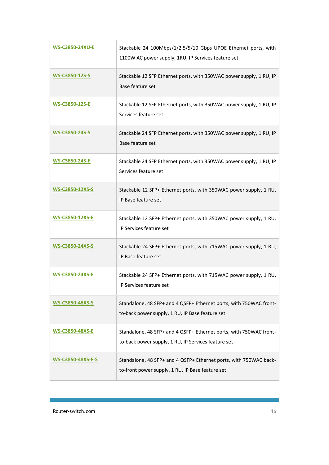| <b>WS-C3850-24XU-E</b>   | Stackable 24 100Mbps/1/2.5/5/10 Gbps UPOE Ethernet ports, with<br>1100W AC power supply, 1RU, IP Services feature set     |
|--------------------------|---------------------------------------------------------------------------------------------------------------------------|
| WS-C3850-12S-S           | Stackable 12 SFP Ethernet ports, with 350WAC power supply, 1 RU, IP<br>Base feature set                                   |
| <b>WS-C3850-12S-E</b>    | Stackable 12 SFP Ethernet ports, with 350WAC power supply, 1 RU, IP<br>Services feature set                               |
| WS-C3850-24S-S           | Stackable 24 SFP Ethernet ports, with 350WAC power supply, 1 RU, IP<br>Base feature set                                   |
| <b>WS-C3850-24S-E</b>    | Stackable 24 SFP Ethernet ports, with 350WAC power supply, 1 RU, IP<br>Services feature set                               |
| <b>WS-C3850-12XS-S</b>   | Stackable 12 SFP+ Ethernet ports, with 350WAC power supply, 1 RU,<br>IP Base feature set                                  |
| <b>WS-C3850-12XS-E</b>   | Stackable 12 SFP+ Ethernet ports, with 350WAC power supply, 1 RU,<br>IP Services feature set                              |
| <b>WS-C3850-24XS-S</b>   | Stackable 24 SFP+ Ethernet ports, with 715WAC power supply, 1 RU,<br>IP Base feature set                                  |
| <b>WS-C3850-24XS-E</b>   | Stackable 24 SFP+ Ethernet ports, with 715WAC power supply, 1 RU,<br>IP Services feature set                              |
| <b>WS-C3850-48XS-S</b>   | Standalone, 48 SFP+ and 4 QSFP+ Ethernet ports, with 750WAC front-<br>to-back power supply, 1 RU, IP Base feature set     |
| <b>WS-C3850-48XS-E</b>   | Standalone, 48 SFP+ and 4 QSFP+ Ethernet ports, with 750WAC front-<br>to-back power supply, 1 RU, IP Services feature set |
| <b>WS-C3850-48XS-F-S</b> | Standalone, 48 SFP+ and 4 QSFP+ Ethernet ports, with 750WAC back-<br>to-front power supply, 1 RU, IP Base feature set     |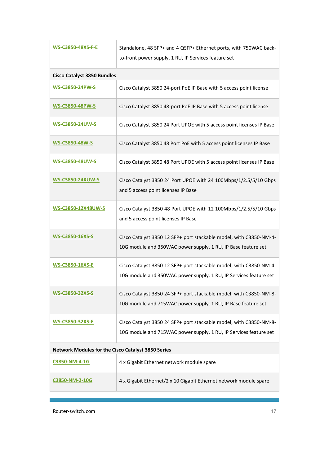| <b>WS-C3850-48XS-F-E</b>                           | Standalone, 48 SFP+ and 4 QSFP+ Ethernet ports, with 750WAC back-<br>to-front power supply, 1 RU, IP Services feature set               |
|----------------------------------------------------|-----------------------------------------------------------------------------------------------------------------------------------------|
| <b>Cisco Catalyst 3850 Bundles</b>                 |                                                                                                                                         |
| <b>WS-C3850-24PW-S</b>                             | Cisco Catalyst 3850 24-port PoE IP Base with 5 access point license                                                                     |
| <b>WS-C3850-48PW-S</b>                             | Cisco Catalyst 3850 48-port PoE IP Base with 5 access point license                                                                     |
| <b>WS-C3850-24UW-S</b>                             | Cisco Catalyst 3850 24 Port UPOE with 5 access point licenses IP Base                                                                   |
| <b>WS-C3850-48W-S</b>                              | Cisco Catalyst 3850 48 Port PoE with 5 access point licenses IP Base                                                                    |
| <b>WS-C3850-48UW-S</b>                             | Cisco Catalyst 3850 48 Port UPOE with 5 access point licenses IP Base                                                                   |
| <b>WS-C3850-24XUW-S</b>                            | Cisco Catalyst 3850 24 Port UPOE with 24 100Mbps/1/2.5/5/10 Gbps<br>and 5 access point licenses IP Base                                 |
| WS-C3850-12X48UW-S                                 | Cisco Catalyst 3850 48 Port UPOE with 12 100Mbps/1/2.5/5/10 Gbps<br>and 5 access point licenses IP Base                                 |
| <b>WS-C3850-16XS-S</b>                             | Cisco Catalyst 3850 12 SFP+ port stackable model, with C3850-NM-4-<br>10G module and 350WAC power supply. 1 RU, IP Base feature set     |
| <b>WS-C3850-16XS-E</b>                             | Cisco Catalyst 3850 12 SFP+ port stackable model, with C3850-NM-4-<br>10G module and 350WAC power supply. 1 RU, IP Services feature set |
| <b>WS-C3850-32XS-S</b>                             | Cisco Catalyst 3850 24 SFP+ port stackable model, with C3850-NM-8-<br>10G module and 715WAC power supply. 1 RU, IP Base feature set     |
| <b>WS-C3850-32XS-E</b>                             | Cisco Catalyst 3850 24 SFP+ port stackable model, with C3850-NM-8-<br>10G module and 715WAC power supply. 1 RU, IP Services feature set |
| Network Modules for the Cisco Catalyst 3850 Series |                                                                                                                                         |
| C3850-NM-4-1G                                      | 4 x Gigabit Ethernet network module spare                                                                                               |
| C3850-NM-2-10G                                     | 4 x Gigabit Ethernet/2 x 10 Gigabit Ethernet network module spare                                                                       |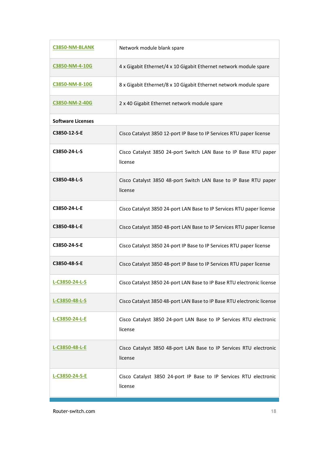| C3850-NM-BLANK           | Network module blank spare                                                    |
|--------------------------|-------------------------------------------------------------------------------|
| C3850-NM-4-10G           | 4 x Gigabit Ethernet/4 x 10 Gigabit Ethernet network module spare             |
| C3850-NM-8-10G           | 8 x Gigabit Ethernet/8 x 10 Gigabit Ethernet network module spare             |
| C3850-NM-2-40G           | 2 x 40 Gigabit Ethernet network module spare                                  |
| <b>Software Licenses</b> |                                                                               |
| C3850-12-S-E             | Cisco Catalyst 3850 12-port IP Base to IP Services RTU paper license          |
| C3850-24-L-S             | Cisco Catalyst 3850 24-port Switch LAN Base to IP Base RTU paper<br>license   |
| C3850-48-L-S             | Cisco Catalyst 3850 48-port Switch LAN Base to IP Base RTU paper<br>license   |
| C3850-24-L-E             | Cisco Catalyst 3850 24-port LAN Base to IP Services RTU paper license         |
| C3850-48-L-E             | Cisco Catalyst 3850 48-port LAN Base to IP Services RTU paper license         |
| C3850-24-S-E             | Cisco Catalyst 3850 24-port IP Base to IP Services RTU paper license          |
| C3850-48-S-E             | Cisco Catalyst 3850 48-port IP Base to IP Services RTU paper license          |
| L-C3850-24-L-S           | Cisco Catalyst 3850 24-port LAN Base to IP Base RTU electronic license        |
| L-C3850-48-L-S           | Cisco Catalyst 3850 48-port LAN Base to IP Base RTU electronic license        |
| L-C3850-24-L-E           | Cisco Catalyst 3850 24-port LAN Base to IP Services RTU electronic<br>license |
| L-C3850-48-L-E           | Cisco Catalyst 3850 48-port LAN Base to IP Services RTU electronic<br>license |
| L-C3850-24-S-E           | Cisco Catalyst 3850 24-port IP Base to IP Services RTU electronic<br>license  |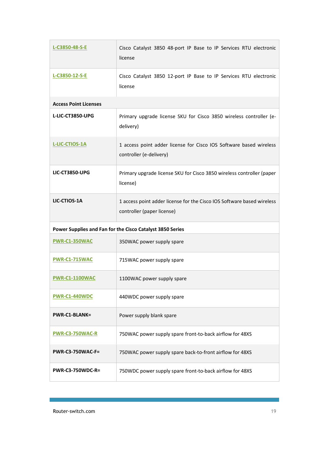| L-C3850-48-S-E               | Cisco Catalyst 3850 48-port IP Base to IP Services RTU electronic<br>license                         |
|------------------------------|------------------------------------------------------------------------------------------------------|
| L-C3850-12-S-E               | Cisco Catalyst 3850 12-port IP Base to IP Services RTU electronic<br>license                         |
| <b>Access Point Licenses</b> |                                                                                                      |
| L-LIC-CT3850-UPG             | Primary upgrade license SKU for Cisco 3850 wireless controller (e-<br>delivery)                      |
| <b>L-LIC-CTIOS-1A</b>        | 1 access point adder license for Cisco IOS Software based wireless<br>controller (e-delivery)        |
| <b>LIC-CT3850-UPG</b>        | Primary upgrade license SKU for Cisco 3850 wireless controller (paper<br>license)                    |
| LIC-CTIOS-1A                 | 1 access point adder license for the Cisco IOS Software based wireless<br>controller (paper license) |
|                              | Power Supplies and Fan for the Cisco Catalyst 3850 Series                                            |
| PWR-C1-350WAC                | 350WAC power supply spare                                                                            |
| <b>PWR-C1-715WAC</b>         | 715WAC power supply spare                                                                            |
| <b>PWR-C1-1100WAC</b>        | 1100WAC power supply spare                                                                           |
| <b>PWR-C1-440WDC</b>         | 440WDC power supply spare                                                                            |
| <b>PWR-C1-BLANK=</b>         | Power supply blank spare                                                                             |
| <b>PWR-C3-750WAC-R</b>       | 750WAC power supply spare front-to-back airflow for 48XS                                             |
| <b>PWR-C3-750WAC-F=</b>      | 750WAC power supply spare back-to-front airflow for 48XS                                             |
| <b>PWR-C3-750WDC-R=</b>      | 750WDC power supply spare front-to-back airflow for 48XS                                             |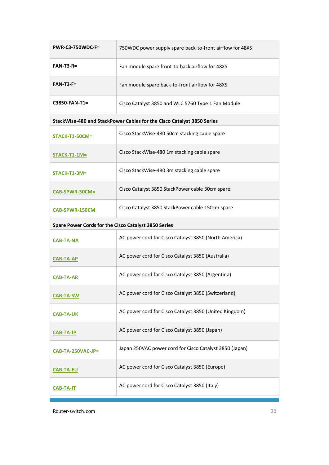| <b>PWR-C3-750WDC-F=</b>                              | 750WDC power supply spare back-to-front airflow for 48XS               |
|------------------------------------------------------|------------------------------------------------------------------------|
| $FAN-T3-R=$                                          | Fan module spare front-to-back airflow for 48XS                        |
| $FAN-T3-F=$                                          | Fan module spare back-to-front airflow for 48XS                        |
| C3850-FAN-T1=                                        | Cisco Catalyst 3850 and WLC 5760 Type 1 Fan Module                     |
|                                                      | StackWise-480 and StackPower Cables for the Cisco Catalyst 3850 Series |
| STACK-T1-50CM=                                       | Cisco StackWise-480 50cm stacking cable spare                          |
| STACK-T1-1M=                                         | Cisco StackWise-480 1m stacking cable spare                            |
| STACK-T1-3M=                                         | Cisco StackWise-480 3m stacking cable spare                            |
| CAB-SPWR-30CM=                                       | Cisco Catalyst 3850 StackPower cable 30cm spare                        |
| CAB-SPWR-150CM                                       | Cisco Catalyst 3850 StackPower cable 150cm spare                       |
| Spare Power Cords for the Cisco Catalyst 3850 Series |                                                                        |
|                                                      |                                                                        |
| <b>CAB-TA-NA</b>                                     | AC power cord for Cisco Catalyst 3850 (North America)                  |
| <b>CAB-TA-AP</b>                                     | AC power cord for Cisco Catalyst 3850 (Australia)                      |
| <b>CAB-TA-AR</b>                                     | AC power cord for Cisco Catalyst 3850 (Argentina)                      |
| <b>CAB-TA-SW</b>                                     | AC power cord for Cisco Catalyst 3850 (Switzerland)                    |
| <b>CAB-TA-UK</b>                                     | AC power cord for Cisco Catalyst 3850 (United Kingdom)                 |
| <b>CAB-TA-JP</b>                                     | AC power cord for Cisco Catalyst 3850 (Japan)                          |
| CAB-TA-250VAC-JP=                                    | Japan 250VAC power cord for Cisco Catalyst 3850 (Japan)                |
| <b>CAB-TA-EU</b>                                     | AC power cord for Cisco Catalyst 3850 (Europe)                         |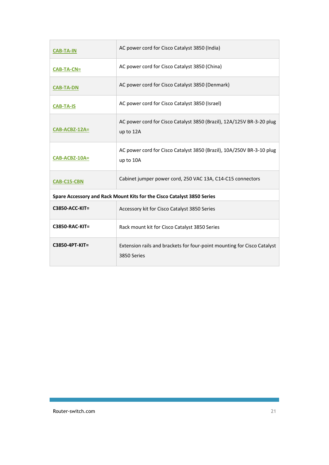| <b>CAB-TA-IN</b>                                                       | AC power cord for Cisco Catalyst 3850 (India)                                          |
|------------------------------------------------------------------------|----------------------------------------------------------------------------------------|
| $CAB-TA-CN=$                                                           | AC power cord for Cisco Catalyst 3850 (China)                                          |
| <b>CAB-TA-DN</b>                                                       | AC power cord for Cisco Catalyst 3850 (Denmark)                                        |
| <b>CAB-TA-IS</b>                                                       | AC power cord for Cisco Catalyst 3850 (Israel)                                         |
| CAB-ACBZ-12A=                                                          | AC power cord for Cisco Catalyst 3850 (Brazil), 12A/125V BR-3-20 plug<br>up to 12A     |
| CAB-ACBZ-10A=                                                          | AC power cord for Cisco Catalyst 3850 (Brazil), 10A/250V BR-3-10 plug<br>up to 10A     |
| CAB-C15-CBN                                                            | Cabinet jumper power cord, 250 VAC 13A, C14-C15 connectors                             |
| Spare Accessory and Rack Mount Kits for the Cisco Catalyst 3850 Series |                                                                                        |
| <b>C3850-ACC-KIT=</b>                                                  | Accessory kit for Cisco Catalyst 3850 Series                                           |
| <b>C3850-RAC-KIT=</b>                                                  | Rack mount kit for Cisco Catalyst 3850 Series                                          |
| C3850-4PT-KIT=                                                         | Extension rails and brackets for four-point mounting for Cisco Catalyst<br>3850 Series |

and the control of the control of the control of the control of the control of the control of the control of the